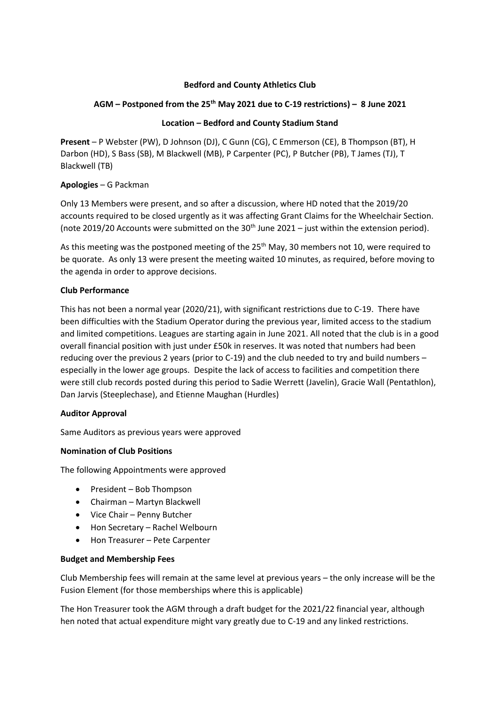# **Bedford and County Athletics Club**

## **AGM – Postponed from the 25th May 2021 due to C-19 restrictions) – 8 June 2021**

### **Location – Bedford and County Stadium Stand**

**Present** – P Webster (PW), D Johnson (DJ), C Gunn (CG), C Emmerson (CE), B Thompson (BT), H Darbon (HD), S Bass (SB), M Blackwell (MB), P Carpenter (PC), P Butcher (PB), T James (TJ), T Blackwell (TB)

## **Apologies** – G Packman

Only 13 Members were present, and so after a discussion, where HD noted that the 2019/20 accounts required to be closed urgently as it was affecting Grant Claims for the Wheelchair Section. (note 2019/20 Accounts were submitted on the  $30<sup>th</sup>$  June 2021 – just within the extension period).

As this meeting was the postponed meeting of the 25<sup>th</sup> May, 30 members not 10, were required to be quorate. As only 13 were present the meeting waited 10 minutes, as required, before moving to the agenda in order to approve decisions.

## **Club Performance**

This has not been a normal year (2020/21), with significant restrictions due to C-19. There have been difficulties with the Stadium Operator during the previous year, limited access to the stadium and limited competitions. Leagues are starting again in June 2021. All noted that the club is in a good overall financial position with just under £50k in reserves. It was noted that numbers had been reducing over the previous 2 years (prior to C-19) and the club needed to try and build numbers – especially in the lower age groups. Despite the lack of access to facilities and competition there were still club records posted during this period to Sadie Werrett (Javelin), Gracie Wall (Pentathlon), Dan Jarvis (Steeplechase), and Etienne Maughan (Hurdles)

#### **Auditor Approval**

Same Auditors as previous years were approved

#### **Nomination of Club Positions**

The following Appointments were approved

- President Bob Thompson
- Chairman Martyn Blackwell
- Vice Chair Penny Butcher
- Hon Secretary Rachel Welbourn
- Hon Treasurer Pete Carpenter

#### **Budget and Membership Fees**

Club Membership fees will remain at the same level at previous years – the only increase will be the Fusion Element (for those memberships where this is applicable)

The Hon Treasurer took the AGM through a draft budget for the 2021/22 financial year, although hen noted that actual expenditure might vary greatly due to C-19 and any linked restrictions.